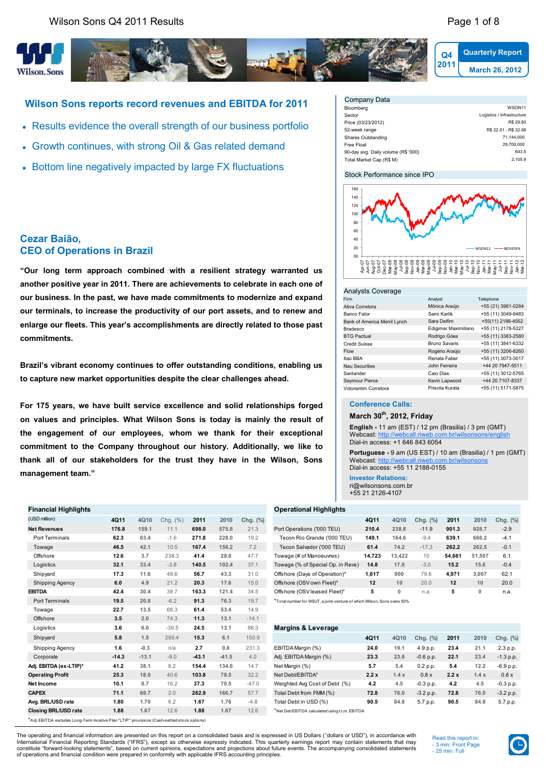**Cezar Baião,**

**commitments.**

**CEO of Operations in Brazil**



# **Wilson Sons reports record revenues and EBITDA for 2011**

Results evidence the overall strength of our business portfolio

**"Our long term approach combined with a resilient strategy warranted us another positive year in 2011. There are achievements to celebrate in each one of our business. In the past, we have made commitments to modernize and expand our terminals, to increase the productivity of our port assets, and to renew and enlarge our fleets. This year's accomplishments are directly related to those past** 

**Brazil's vibrant economy continues to offer outstanding conditions, enabling us** 

**For 175 years, we have built service excellence and solid relationships forged on values and principles. What Wilson Sons is today is mainly the result of the engagement of our employees, whom we thank for their exceptional commitment to the Company throughout our history. Additionally, we like to** 

**to capture new market opportunities despite the clear challenges ahead.**

- Growth continues, with strong Oil & Gas related demand
- Bottom line negatively impacted by large FX fluctuations

| Company Data                        |                            |
|-------------------------------------|----------------------------|
| Bloomberg                           | WSON11                     |
| Sector                              | Logistics / Infrastructure |
| Price (03/23/2012)                  | R\$ 29.60                  |
| 52-week range                       | R\$ 22.01 - R\$ 32.98      |
| Shares Outstanding                  | 71.144.000                 |
| Free Float                          | 29.700.000                 |
| 90-day avg. Daily volume (R\$ '000) | 643.5                      |
| Total Market Cap (R\$ M)            | 2.105.9                    |
|                                     |                            |

#### Stock Performance since IPO



#### Analysts Coverage

| Firm                         | Analyst              | <i>l</i> elephone  |
|------------------------------|----------------------|--------------------|
| Ativa Corretora              | Mônica Araújo        | +55 (21) 3981-0284 |
| Banco Fator                  | Sami Karlik          | +55 (11) 3049-9483 |
| Bank of America Merril Lynch | Sara Delfim          | +55(11) 2188-4552  |
| Bradesco                     | Edigimar Maximiliano | +55 (11) 2178-5327 |
| <b>BTG Pactual</b>           | Rodrigo Góes         | +55 (11) 3383-2580 |
| <b>Credit Suisse</b>         | <b>Bruno Savaris</b> | +55 (11) 3841-6332 |
| Flow                         | Rogério Araújo       | +55 (11) 3206-8260 |
| Itaú BBA                     | Renata Faber         | +55 (11) 3073-3017 |
| <b>Nau Securities</b>        | John Ferreira        | +44 20 7947-5511   |
| Santander                    | Caio Dias            | +55 (11) 3012-5765 |
| Seymour Pierce               | Kevin Lapwood        | +44 20 7107-8337   |
| Votorantim Corretora         | Priscila Kurata      | +55 (11) 5171-5875 |

#### **Conference Calls:**

**March 30th, 2012, Friday**

**English -** 11 am (EST) / 12 pm (Brasilia) / 3 pm (GMT) Webcast:<http://webcall.riweb.com.br/wilsonsons/english> Dial-in access: +1 646 843 6054

**Portuguese -** 9 am (US EST) / 10 am (Brasilia) / 1 pm (GMT)<br>Webcast: http://webcall.riweb.com.br/wilsonsons Webcast: http://web Dial-in access: +55 11 2188-0155

**Investor Relations:** ri@wilsonsons.com.br +55 21 2126-4107

| Financial Highlights   |             |       |               |       |       |          | <b>Operational Highlights</b>     |        |        |          |        |        |          |
|------------------------|-------------|-------|---------------|-------|-------|----------|-----------------------------------|--------|--------|----------|--------|--------|----------|
| (USD million)          | 4Q11        | 4Q10  | (% )<br>Chq.  | 2011  | 2010  | Chg. (%) |                                   | 4Q11   | 4Q10   | Chg. (%) | 2011   | 2010   | Chg. (%) |
| <b>Net Revenues</b>    | 176.8       | 159.1 | 11.           | 698.0 | 575.6 | 21.3     | Port Operations ('000 TEU)        | 210.4  | 238.8  | $-11.9$  | 901.3  | 928.7  | $-2.9$   |
| Port Terminals         | 62.3        | 63.4  | $-1.6$        | 271.8 | 228.0 | 19.2     | Tecon Rio Grande ('000 TEU)       | 149.1  | 164.6  | $-9.4$   | 639.1  | 666.2  | $-4.1$   |
| Towage                 | 46.5        | 42.1  | 10.5          | 167.4 | 156.2 | 7.2      | Tecon Salvador ('000 TEU)         | 61.4   | 74.2   | $-17.3$  | 262.2  | 262.5  | $-0.1$   |
| Offshore               | 12.6        | 3.7   | 238.3         | 41.4  | 28.0  | 47.7     | Towage (# of Manoeuvres)          | 14,723 | 13.422 | 10       | 54.661 | 51,507 | 6.1      |
| Logistics              | 32.1        | 33.4  | $-3.8$        | 140.5 | 102.4 | 37.1     | Towage (% of Special Op. in Revs) | 14.8   | 17.8   | $-3.0$   | 15.2   | 15.6   | $-0.4$   |
| Shipyard               | 17.3        | 11.6  | 48.6          | 56.7  | 43.3  | 31.0     | Offshore (Days of Operation)*     | 1,617  | 900    | 79.6     | 4,971  | 3,067  | 62.1     |
| <b>Shipping Agency</b> | 6.0         | 4.9   | 21.2          | 20.3  | 17.6  | 15.0     | Offshore (OSV own Fleet)*         | 12     | 10     | 20.0     | 12     | 10     | 20.0     |
| EBITDA                 | 42.4        | 30.4  | 39.7          | 163.3 | 121.4 | 34.5     | Offshore (OSV leased Fleet)*      | 5      | 0      | n.a.     | 5      | 0      | n.a.     |
| Dort Torminalo         | <b>40 E</b> | 200   | $\sim$ $\sim$ | 042   | 7C2   | 107      |                                   |        |        |          |        |        |          |

| Logistics                      | 3.6            | 6.0        | $-39.5$            | 24.5           | 13.1    | 86.3               | <b>Margins &amp; Leverage</b> |      |      |             |      |      |             |
|--------------------------------|----------------|------------|--------------------|----------------|---------|--------------------|-------------------------------|------|------|-------------|------|------|-------------|
| Shipyard                       | 5.8            | 1.5        | 299.4              | 15.3           | 6.1     | 150.9              |                               | 4Q11 | 4Q10 | Chg. $(\%)$ | 2011 | 2010 | Chg. (%)    |
| Shipping Agency                | 1.6            | $-0.3$     | n/a                | 2.7            | 0.8     | 231.3              | EBITDA Margin (%)             | 24.0 | 19.1 | 4.9 p.p.    | 23.4 | 21.1 | 2.3 p.p.    |
| Corporate                      | $-14.3$        | $-13.1$    | $-9.0$             | $-43.1$        | $-41.5$ | 4.0                | Adj. EBITDA Margin (%)        | 23.3 | 23.9 | $-0.6 p.p.$ | 22.1 | 23.4 | $-1.3$ p.p. |
| Adj. EBITDA (ex-LTIP)*         | 41.2           | 38.1       | 8.2                | 154.4          | 134.6   | 14.7               | Net Margin (%)                | 5.7  | 5.4  | 0.2 p.p.    | 5.4  | 12.2 | $-6.9 p.p.$ |
| <b>Operating Profit</b>        | 25.3           | 18.0       | 40.6               | 103.8          | 78.5    | 32.2               | Net Debt/EBITDA*              | 2.2x | 1.4x | 0.8x        | 2.2x | 1.4x | 0.8x        |
| Net Income                     | 10.1           | 8.7        | 16.2               | 37.3           | 70.5    | $-47.0$            | Weighted Avg Cost of Debt (%) | 4.2  | 4.5  | $-0.3 p.p.$ | 4.2  | 4.5  | $-0.3 p.p.$ |
| <b>CAPEX</b>                   | 71.1           | 69.7       | 2.0                | 262.9          | 166.7   | 57.7               | Total Debt from FMM (%)       | 72.8 | 76.0 | $-3.2 p.p.$ | 72.8 | 76.0 | $-3.2 p.p.$ |
| Avg. BRL/USD rate              | 1.80           | 1.70       | 6.2                | 1.67           | 1.76    | $-4.8$             | Total Debt in USD (%)         | 90.5 | 84.8 | 5.7 p.p.    | 90.5 | 84.8 | 5.7 p.p.    |
| $A1 - B2 - B1$ is a set of $A$ | $\overline{1}$ | $A \cap B$ | $\Lambda$ $\Omega$ | $\overline{1}$ | $\sim$  | $\Lambda$ $\Omega$ |                               |      |      |             |      |      |             |

The operating and financial information are presented on this report on a consolidated basis and is expressed in US Dollars ("dollars or USD"), in accordance with

International Financial Reporting Standards ("IFRS"), except as otherwise expressly indicated. This quarterly earnings report may contain statements that may<br>constitute "forward-looking statements", based on current opinio of operations and financial condition were prepared in conformity with applicable IFRS accounting principles.

Read this report in: - 3 min: Front Page - 25 min: Full



Port Terminals **19.5 20.8** -6.2 **91.3 76.3** 19.7 \*Total number for WSUT, a joint-venture of which Wilson, Sons owns 50% Towage **22.7 13.5** 68.3 **61.4 53.4** 14.9 Offshore **3.5 2.0** 74.3 **11.3 13.1** -14.1 Logistics **3.6 6.0** -39.5 **24.5 13.1** 86.3 **Margins & Leverage Adj. EBITDA (ex-LTIP)\* 41.2** 38.1 8.2 **154.4** 134.6 14.7 **Closing BRL/USD rate 1.88 1.67** 12.6 **1.88 1.67** 12.6 \*Net Det/EBITDA calculated using t.t.m. EBITDA \*Adj. EBITDA excludes Long-Term Incetive Plan "LTIP" provisions (Cash-settled stock options)

# **thank all of our stakeholders for the trust they have in the Wilson, Sons management team." Financial Highlights Operational Highlights**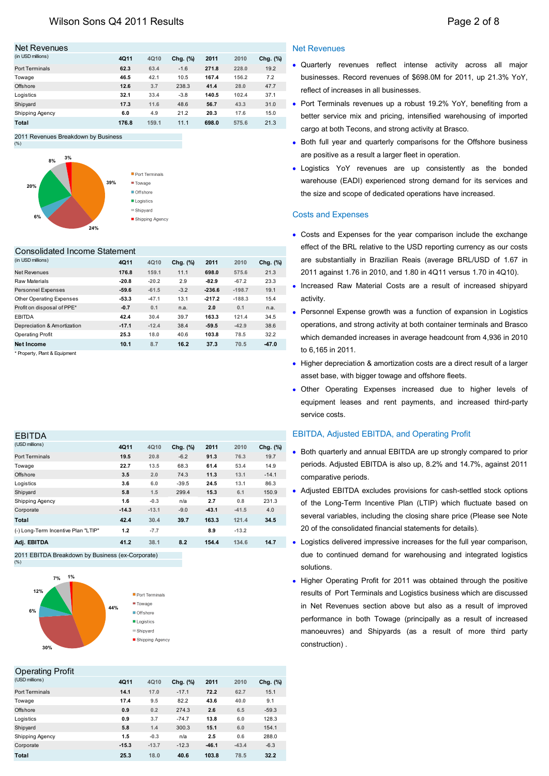| Net Revenues      |             |       |          |       |       |          |
|-------------------|-------------|-------|----------|-------|-------|----------|
| (in USD millions) | <b>4Q11</b> | 4Q10  | Chg. (%) | 2011  | 2010  | Chg. (%) |
| Port Terminals    | 62.3        | 63.4  | $-1.6$   | 271.8 | 228.0 | 19.2     |
| Towage            | 46.5        | 42.1  | 10.5     | 167.4 | 156.2 | 7.2      |
| Offshore          | 12.6        | 3.7   | 238.3    | 41.4  | 28.0  | 47.7     |
| Logistics         | 32.1        | 33.4  | $-3.8$   | 140.5 | 102.4 | 37.1     |
| Shipyard          | 17.3        | 11.6  | 48.6     | 56.7  | 43.3  | 31.0     |
| Shipping Agency   | 6.0         | 4.9   | 21.2     | 20.3  | 17.6  | 15.0     |
| Total             | 176.8       | 159.1 | 11.1     | 698.0 | 575.6 | 21.3     |

2011 Revenues Breakdown by Business



#### Consolidated Income Statement

| (in USD millions)             | <b>4Q11</b> | 4Q10    | Chg. (%) | 2011     | 2010     | Chg. (%) |
|-------------------------------|-------------|---------|----------|----------|----------|----------|
| Net Revenues                  | 176.8       | 159.1   | 11.1     | 698.0    | 575.6    | 21.3     |
| Raw Materials                 | $-20.8$     | $-20.2$ | 2.9      | $-82.9$  | $-67.2$  | 23.3     |
| Personnel Expenses            | $-59.6$     | $-61.5$ | $-3.2$   | $-236.6$ | $-198.7$ | 19.1     |
| Other Operating Expenses      | $-53.3$     | $-47.1$ | 13.1     | $-217.2$ | $-188.3$ | 15.4     |
| Profit on disposal of PPE*    | $-0.7$      | 0.1     | n.a.     | 2.0      | 0.1      | n.a.     |
| <b>EBITDA</b>                 | 42.4        | 30.4    | 39.7     | 163.3    | 121.4    | 34.5     |
| Depreciation & Amortization   | $-17.1$     | $-12.4$ | 38.4     | $-59.5$  | $-42.9$  | 38.6     |
| <b>Operating Profit</b>       | 25.3        | 18.0    | 40.6     | 103.8    | 78.5     | 32.2     |
| Net Income                    | 10.1        | 8.7     | 16.2     | 37.3     | 70.5     | $-47.0$  |
| * Property. Plant & Equipment |             |         |          |          |          |          |

\* Property, Plant & Equipment

| <b>EBITDA</b>                       |         |         |          |         |         |          |
|-------------------------------------|---------|---------|----------|---------|---------|----------|
| (USD millions)                      | 4Q11    | 4Q10    | Chg. (%) | 2011    | 2010    | Chg. (%) |
| Port Terminals                      | 19.5    | 20.8    | $-6.2$   | 91.3    | 76.3    | 19.7     |
| Towage                              | 22.7    | 13.5    | 68.3     | 61.4    | 53.4    | 14.9     |
| Offshore                            | 3.5     | 2.0     | 74.3     | 11.3    | 13.1    | $-14.1$  |
| Logistics                           | 3.6     | 6.0     | $-39.5$  | 24.5    | 13.1    | 86.3     |
| Shipyard                            | 5.8     | 1.5     | 299.4    | 15.3    | 6.1     | 150.9    |
| Shipping Agency                     | 1.6     | $-0.3$  | n/a      | 2.7     | 0.8     | 231.3    |
| Corporate                           | $-14.3$ | $-13.1$ | $-9.0$   | $-43.1$ | $-41.5$ | 4.0      |
| Total                               | 42.4    | 30.4    | 39.7     | 163.3   | 121.4   | 34.5     |
| (-) Long-Term Incentive Plan "LTIP" | 1.2     | $-7.7$  |          | 8.9     | $-13.2$ |          |
| Adj. EBITDA                         | 41.2    | 38.1    | 8.2      | 154.4   | 134.6   | 14.7     |

2011 EBITDA Breakdown by Business (ex-Corporate) (%)



# Operating Profit

| (USD millions)  | <b>4Q11</b> | 4Q10    | Chg. (%) | 2011    | 2010    | Chg. (%) |
|-----------------|-------------|---------|----------|---------|---------|----------|
| Port Terminals  | 14.1        | 17.0    | $-17.1$  | 72.2    | 62.7    | 15.1     |
| Towage          | 17.4        | 9.5     | 82.2     | 43.6    | 40.0    | 9.1      |
| Offshore        | 0.9         | 0.2     | 274.3    | 2.6     | 6.5     | $-59.3$  |
| Logistics       | 0.9         | 3.7     | $-74.7$  | 13.8    | 6.0     | 128.3    |
| Shipyard        | 5.8         | 1.4     | 300.3    | 15.1    | 6.0     | 154.1    |
| Shipping Agency | 1.5         | $-0.3$  | n/a      | 2.5     | 0.6     | 288.0    |
| Corporate       | $-15.3$     | $-13.7$ | $-12.3$  | $-46.1$ | $-43.4$ | $-6.3$   |
| Total           | 25.3        | 18.0    | 40.6     | 103.8   | 78.5    | 32.2     |
|                 |             |         |          |         |         |          |

#### Net Revenues

- Quarterly revenues reflect intense activity across all major businesses. Record revenues of \$698.0M for 2011, up 21.3% YoY, reflect of increases in all businesses.
- Port Terminals revenues up a robust 19.2% YoY, benefiting from a better service mix and pricing, intensified warehousing of imported cargo at both Tecons, and strong activity at Brasco.
- Both full year and quarterly comparisons for the Offshore business are positive as a result a larger fleet in operation.
- Logistics YoY revenues are up consistently as the bonded warehouse (EADI) experienced strong demand for its services and the size and scope of dedicated operations have increased.

#### Costs and Expenses

- Costs and Expenses for the year comparison include the exchange effect of the BRL relative to the USD reporting currency as our costs are substantially in Brazilian Reais (average BRL/USD of 1.67 in 2011 against 1.76 in 2010, and 1.80 in 4Q11 versus 1.70 in 4Q10).
- Increased Raw Material Costs are a result of increased shipyard activity.
- Personnel Expense growth was a function of expansion in Logistics operations, and strong activity at both container terminals and Brasco which demanded increases in average headcount from 4,936 in 2010 to 6,165 in 2011.
- Higher depreciation & amortization costs are a direct result of a larger asset base, with bigger towage and offshore fleets.
- Other Operating Expenses increased due to higher levels of equipment leases and rent payments, and increased third-party service costs.

#### EBITDA, Adjusted EBITDA, and Operating Profit

- Both quarterly and annual EBITDA are up strongly compared to prior periods. Adjusted EBITDA is also up, 8.2% and 14.7%, against 2011 comparative periods.
- Adjusted EBITDA excludes provisions for cash-settled stock options of the Long-Term Incentive Plan (LTIP) which fluctuate based on several variables, including the closing share price (Please see Note 20 of the consolidated financial statements for details).
- Logistics delivered impressive increases for the full year comparison, due to continued demand for warehousing and integrated logistics solutions.
- Higher Operating Profit for 2011 was obtained through the positive results of Port Terminals and Logistics business which are discussed in Net Revenues section above but also as a result of improved performance in both Towage (principally as a result of increased manoeuvres) and Shipyards (as a result of more third party construction) .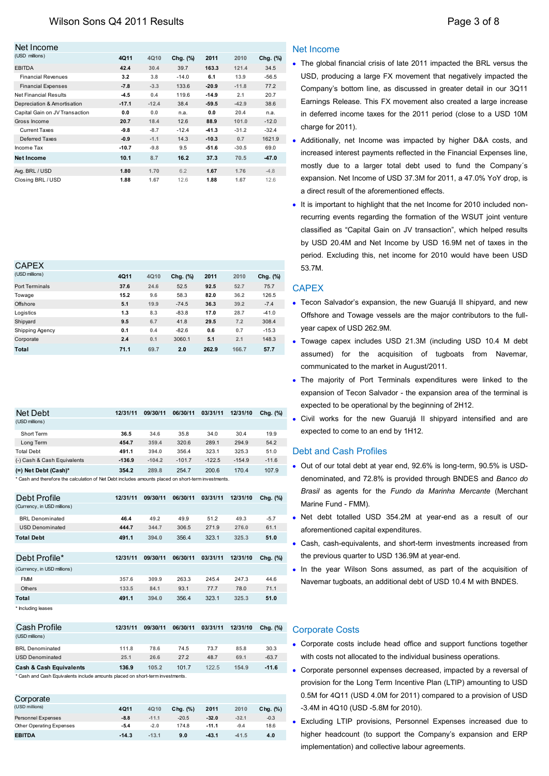| Net Income                     |             |         |          |         |         |          |
|--------------------------------|-------------|---------|----------|---------|---------|----------|
| (USD millions)                 | <b>4Q11</b> | 4Q10    | Chg. (%) | 2011    | 2010    | Chg. (%) |
| <b>EBITDA</b>                  | 42.4        | 30.4    | 39.7     | 163.3   | 121.4   | 34.5     |
| <b>Financial Revenues</b>      | 3.2         | 3.8     | $-14.0$  | 6.1     | 13.9    | $-56.5$  |
| <b>Financial Expenses</b>      | $-7.8$      | $-3.3$  | 133.6    | $-20.9$ | $-11.8$ | 77.2     |
| Net Financial Results          | $-4.5$      | 0.4     | 119.6    | $-14.9$ | 2.1     | 20.7     |
| Depreciation & Amortisation    | $-17.1$     | $-12.4$ | 38.4     | $-59.5$ | $-42.9$ | 38.6     |
| Capital Gain on JV Transaction | 0.0         | 0.0     | n.a.     | 0.0     | 20.4    | n.a.     |
| Gross Income                   | 20.7        | 18.4    | 12.6     | 88.9    | 101.0   | $-12.0$  |
| <b>Current Taxes</b>           | $-9.8$      | $-8.7$  | $-12.4$  | $-41.3$ | $-31.2$ | $-32.4$  |
| Deferred Taxes                 | $-0.9$      | $-1.1$  | 14.3     | $-10.3$ | 0.7     | 1621.9   |
| Income Tax                     | $-10.7$     | $-9.8$  | 9.5      | $-51.6$ | $-30.5$ | 69.0     |
| Net Income                     | 10.1        | 8.7     | 16.2     | 37.3    | 70.5    | $-47.0$  |
| Avg. BRL / USD                 | 1.80        | 1.70    | 6.2      | 1.67    | 1.76    | $-4.8$   |
| Closing BRL / USD              | 1.88        | 1.67    | 12.6     | 1.88    | 1.67    | 12.6     |

| <b>CAPEX</b>    |      |      |          |       |       |          |
|-----------------|------|------|----------|-------|-------|----------|
| (USD millions)  | 4Q11 | 4Q10 | Chg. (%) | 2011  | 2010  | Chg. (%) |
| Port Terminals  | 37.6 | 24.6 | 52.5     | 92.5  | 52.7  | 75.7     |
| Towage          | 15.2 | 9.6  | 58.3     | 82.0  | 36.2  | 126.5    |
| Offshore        | 5.1  | 19.9 | $-74.5$  | 36.3  | 39.2  | $-7.4$   |
| Logistics       | 1.3  | 8.3  | $-83.8$  | 17.0  | 28.7  | $-41.0$  |
| Shipyard        | 9.5  | 6.7  | 41.8     | 29.5  | 7.2   | 308.4    |
| Shipping Agency | 0.1  | 0.4  | $-82.6$  | 0.6   | 0.7   | $-15.3$  |
| Corporate       | 2.4  | 0.1  | 3060.1   | 5.1   | 2.1   | 148.3    |
| <b>Total</b>    | 71.1 | 69.7 | 2.0      | 262.9 | 166.7 | 57.7     |

| Net Debt                                                                                            | 12/31/11 | 09/30/11 | 06/30/11 | 03/31/11 | 12/31/10 | Chg. (%) |
|-----------------------------------------------------------------------------------------------------|----------|----------|----------|----------|----------|----------|
| (USD millions)                                                                                      |          |          |          |          |          |          |
| Short Term                                                                                          | 36.5     | 34.6     | 35.8     | 34.0     | 30.4     | 19.9     |
| Long Term                                                                                           | 454.7    | 359.4    | 320.6    | 289.1    | 294.9    | 54.2     |
| Total Debt                                                                                          | 491.1    | 394.0    | 356.4    | 323.1    | 325.3    | 51.0     |
| (-) Cash & Cash Equivalents                                                                         | $-136.9$ | $-104.2$ | $-101.7$ | $-122.5$ | $-154.9$ | $-11.6$  |
| $(=)$ Net Debt (Cash)*                                                                              | 354.2    | 289.8    | 254.7    | 200.6    | 170.4    | 107.9    |
| * Cash and therefore the calculation of Net Debt includes amounts placed on short-term investments. |          |          |          |          |          |          |

| Debt Profile                | 12/31/11 | 09/30/11 | 06/30/11 | 03/31/11 | 12/31/10 | Chg. (%) |
|-----------------------------|----------|----------|----------|----------|----------|----------|
| (Currency, in USD millions) |          |          |          |          |          |          |
| <b>BRL</b> Denominated      | 46.4     | 49.2     | 49.9     | 51.2     | 49.3     | $-5.7$   |
| <b>USD Denominated</b>      | 444.7    | 344.7    | 306.5    | 271.9    | 276.0    | 61.1     |
| <b>Total Debt</b>           | 491.1    | 394.0    | 356.4    | 323.1    | 325.3    | 51.0     |
|                             |          |          |          |          |          |          |
| Debt Profile*               | 12/31/11 | 09/30/11 | 06/30/11 | 03/31/11 | 12/31/10 | Chg. (%) |
| (Currency, in USD millions) |          |          |          |          |          |          |
| <b>FMM</b>                  | 357.6    | 309.9    | 263.3    | 245.4    | 247.3    | 44.6     |
| <b>Others</b>               | 133.5    | 84.1     | 93.1     | 77.7     | 78.0     | 71.1     |
| Total                       | 491.1    | 394.0    | 356.4    | 323.1    | 325.3    | 51.0     |
| * Including leases          |          |          |          |          |          |          |

| Cash Profile                                                                  | 12/31/11 | 09/30/11 | 06/30/11 | 03/31/11 | 12/31/10 | Cha. (%) |  |  |
|-------------------------------------------------------------------------------|----------|----------|----------|----------|----------|----------|--|--|
| (USD millions)                                                                |          |          |          |          |          |          |  |  |
| <b>BRL Denominated</b>                                                        | 111.8    | 78.6     | 74.5     | 73.7     | 85.8     | 30.3     |  |  |
| <b>USD Denominated</b>                                                        | 25.1     | 26.6     | 27.2     | 48.7     | 69.1     | $-63.7$  |  |  |
| <b>Cash &amp; Cash Equivalents</b>                                            | 136.9    | 105.2    | 101.7    | 122.5    | 154.9    | $-11.6$  |  |  |
| * Cash and Cash Equivalents include amounts placed on short-term investments. |          |          |          |          |          |          |  |  |

| Corporate                       |         |         |             |         |         |             |
|---------------------------------|---------|---------|-------------|---------|---------|-------------|
| (USD millions)                  | 4Q11    | 4Q10    | Chg. $(\%)$ | 2011    | 2010    | Chg. $(\%)$ |
| Personnel Expenses              | $-8.8$  | $-11.1$ | $-20.5$     | $-32.0$ | $-32.1$ | $-0.3$      |
| <b>Other Operating Expenses</b> | $-5.4$  | $-2.0$  | 174.8       | $-11.1$ | $-9.4$  | 18.6        |
| <b>EBITDA</b>                   | $-14.3$ | $-13.1$ | 9.0         | $-43.1$ | $-41.5$ | 4.0         |

## Net Income

- The global financial crisis of late 2011 impacted the BRL versus the USD, producing a large FX movement that negatively impacted the Company's bottom line, as discussed in greater detail in our 3Q11 Earnings Release. This FX movement also created a large increase in deferred income taxes for the 2011 period (close to a USD 10M charge for 2011).
- Additionally, net Income was impacted by higher D&A costs, and increased interest payments reflected in the Financial Expenses line, mostly due to a larger total debt used to fund the Company´s expansion. Net Income of USD 37.3M for 2011, a 47.0% YoY drop, is a direct result of the aforementioned effects.
- It is important to highlight that the net Income for 2010 included nonrecurring events regarding the formation of the WSUT joint venture classified as "Capital Gain on JV transaction", which helped results by USD 20.4M and Net Income by USD 16.9M net of taxes in the period. Excluding this, net income for 2010 would have been USD 53.7M.

# **CAPEX**

- Tecon Salvador's expansion, the new Guarujá II shipyard, and new Offshore and Towage vessels are the major contributors to the fullyear capex of USD 262.9M.
- Towage capex includes USD 21.3M (including USD 10.4 M debt assumed) for the acquisition of tugboats from Navemar, communicated to the market in August/2011.
- The majority of Port Terminals expenditures were linked to the expansion of Tecon Salvador - the expansion area of the terminal is expected to be operational by the beginning of 2H12.
- Civil works for the new Guarujá II shipyard intensified and are expected to come to an end by 1H12.

## Debt and Cash Profiles

- Out of our total debt at year end, 92.6% is long-term, 90.5% is USDdenominated, and 72.8% is provided through BNDES and *Banco do Brasil* as agents for the *Fundo da Marinha Mercante* (Merchant Marine Fund - FMM).
- Net debt totalled USD 354.2M at year-end as a result of our aforementioned capital expenditures.
- Cash, cash-equivalents, and short-term investments increased from the previous quarter to USD 136.9M at year-end.
- In the year Wilson Sons assumed, as part of the acquisition of Navemar tugboats, an additional debt of USD 10.4 M with BNDES.

## Corporate Costs

- Corporate costs include head office and support functions together with costs not allocated to the individual business operations.
- Corporate personnel expenses decreased, impacted by a reversal of provision for the Long Term Incentive Plan (LTIP) amounting to USD 0.5M for 4Q11 (USD 4.0M for 2011) compared to a provision of USD -3.4M in 4Q10 (USD -5.8M for 2010).
- Excluding LTIP provisions, Personnel Expenses increased due to higher headcount (to support the Company's expansion and ERP implementation) and collective labour agreements.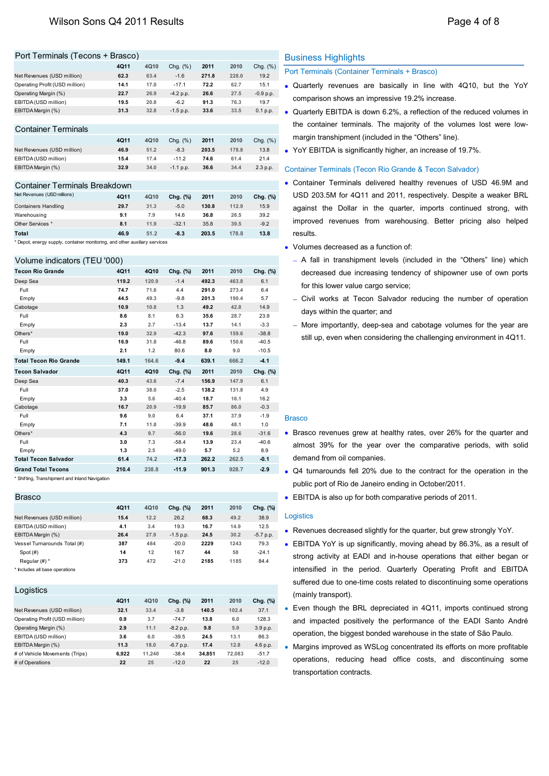#### Port Terminals (Tecons + Brasco)

|                                | 4Q11 | 4Q10 | Chg. $(\%)$ | 2011  | 2010  | Chg. $(\%)$ |
|--------------------------------|------|------|-------------|-------|-------|-------------|
| Net Revenues (USD million)     | 62.3 | 63.4 | $-1.6$      | 271.8 | 228.0 | 19.2        |
| Operating Profit (USD million) | 14.1 | 17.0 | $-17.1$     | 72.2  | 62.7  | 15.1        |
| Operating Margin (%)           | 22.7 | 26.9 | $-4.2 p.p.$ | 26.6  | 27.5  | $-0.9 p.p.$ |
| EBITDA (USD million)           | 19.5 | 20.8 | $-6.2$      | 91.3  | 76.3  | 19.7        |
| EBITDA Margin (%)              | 31.3 | 32.8 | $-1.5 p.p.$ | 33.6  | 33.5  | 0.1 p.p.    |
|                                |      |      |             |       |       |             |
| <b>Container Terminals</b>     |      |      |             |       |       |             |
|                                | 4Q11 | 4Q10 | Chg. $(\%)$ | 2011  | 2010  | Chg. $(\%)$ |

|                            | 4011 | 4010 | Cha. (%)    | 2011  | 2010  | Chg. (%) |
|----------------------------|------|------|-------------|-------|-------|----------|
| Net Revenues (USD million) | 46.9 | 51.2 | $-8.3$      | 203.5 | 178.8 | 13.8     |
| EBITDA (USD million)       | 15.4 | 17.4 | $-11.2$     | 74.6  | 61.4  | 21.4     |
| EBITDA Margin (%)          | 32.9 | 34.0 | $-1.1$ p.p. | 36.6  | 34.4  | 2.3 p.p. |

#### Container Terminals Breakdown

| Net Revenues (USD millions) | 4Q11 | 4Q10 | Cha. (%) | 2011  | 2010  | Chg. (%) |
|-----------------------------|------|------|----------|-------|-------|----------|
| <b>Containers Handling</b>  | 29.7 | 31.3 | $-5.0$   | 130.8 | 112.9 | 15.9     |
| Warehousing                 | 9.1  | 7.9  | 14.6     | 36.8  | 26.5  | 39.2     |
| Other Services *            | 8.1  | 11.9 | $-32.1$  | 35.8  | 39.5  | $-9.2$   |
| Total                       | 46.9 | 51.2 | $-8.3$   | 203.5 | 178.8 | 13.8     |

\* Depot, energy supply, container monitoring, and other auxiliary services

#### Volume indicators (TEU '000)

| <b>Tecon Rio Grande</b>       | 4Q11  | 4Q10  | Chg. (%) | 2011  | 2010  | Chg. (%) |
|-------------------------------|-------|-------|----------|-------|-------|----------|
| Deep Sea                      | 119.2 | 120.9 | $-1.4$   | 492.3 | 463.8 | 6.1      |
| Full                          | 74.7  | 71.6  | 4.4      | 291.0 | 273.4 | 6.4      |
| Empty                         | 44.5  | 49.3  | $-9.8$   | 201.3 | 190.4 | 5.7      |
| Cabotage                      | 10.9  | 10.8  | 1.3      | 49.2  | 42.8  | 14.9     |
| Full                          | 8.6   | 8.1   | 6.3      | 35.6  | 28.7  | 23.9     |
| Empty                         | 2.3   | 2.7   | $-13.4$  | 13.7  | 14.1  | $-3.3$   |
| Others*                       | 19.0  | 32.9  | $-42.3$  | 97.6  | 159.6 | $-38.8$  |
| Full                          | 16.9  | 31.8  | $-46.8$  | 89.6  | 150.6 | $-40.5$  |
| Empty                         | 2.1   | 1.2   | 80.6     | 8.0   | 9.0   | $-10.5$  |
| <b>Total Tecon Rio Grande</b> | 149.1 | 164.6 | $-9.4$   | 639.1 | 666.2 | $-4.1$   |
| <b>Tecon Salvador</b>         | 4Q11  | 4Q10  | Chg. (%) | 2011  | 2010  | Chg. (%) |
| Deep Sea                      | 40.3  | 43.6  | $-7.4$   | 156.9 | 147.9 | 6.1      |
| Full                          | 37.0  | 38.0  | $-2.5$   | 138.2 | 131.8 | 4.9      |
| Empty                         | 3.3   | 5.6   | $-40.4$  | 18.7  | 16.1  | 16.2     |
| Cabotage                      | 16.7  | 20.9  | $-19.9$  | 85.7  | 86.0  | $-0.3$   |
| Full                          | 9.6   | 9.0   | 6.4      | 37.1  | 37.9  | $-1.9$   |
| Empty                         | 7.1   | 11.8  | $-39.9$  | 48.6  | 48.1  | 1.0      |
| Others*                       | 4.3   | 9.7   | $-56.0$  | 19.6  | 28.6  | $-31.6$  |
| Full                          | 3.0   | 7.3   | $-58.4$  | 13.9  | 23.4  | $-40.6$  |
| Empty                         | 1.3   | 2.5   | $-49.0$  | 5.7   | 5.2   | 8.9      |
| <b>Total Tecon Salvador</b>   | 61.4  | 74.2  | $-17.3$  | 262.2 | 262.5 | $-0.1$   |
| <b>Grand Total Tecons</b>     | 210.4 | 238.8 | $-11.9$  | 901.3 | 928.7 | $-2.9$   |

\* Shifting, Transhipment and Inland Navigation

#### Brasco **4Q11 4Q10 Chg. (%) 2011 2010 Chg. (%)** Net Revenues (USD million) **15.4 12.2** 26.2 **68.3 49.2** 38.9 EBITDA (USD million) **4.1 3.4** 19.3 **16.7 14.9** 12.5 EBITDA Margin (%) **26.4 27.9** -1.5 p.p. **24.5 30.2** -5.7 p.p. Vessel Turnarounds Total (#) **387 484** -20.0 **2229 1243** 79.3 Spot (#) **14 12** 16.7 **44 58** -24.1 Regular (#) \* **373 472** -21.0 **2185 1185** 84.4

\* Includes all base operations

| <b>4Q11</b> | 4Q10   | Chg. (%)    | 2011   | 2010   | Chg. (%) |
|-------------|--------|-------------|--------|--------|----------|
| 32.1        | 33.4   | $-3.8$      | 140.5  | 102.4  | 37.1     |
| 0.9         | 3.7    | $-74.7$     | 13.8   | 6.0    | 128.3    |
| 2.9         | 11.1   | $-8.2$ p.p. | 9.8    | 5.9    | 3.9 p.p. |
| 3.6         | 6.0    | $-39.5$     | 24.5   | 13.1   | 86.3     |
| 11.3        | 18.0   | $-6.7$ p.p. | 17.4   | 12.8   | 4.6 p.p. |
| 6.922       | 11.240 | $-38.4$     | 34.851 | 72.083 | $-51.7$  |
| 22          | 25     | $-12.0$     | 22     | 25     | $-12.0$  |
|             |        |             |        |        |          |

#### Business Highlights

Port Terminals (Container Terminals + Brasco)

- Quarterly revenues are basically in line with 4Q10, but the YoY comparison shows an impressive 19.2% increase.
- Quarterly EBITDA is down 6.2%, a reflection of the reduced volumes in the container terminals. The majority of the volumes lost were lowmargin transhipment (included in the "Others" line).
- YoY EBITDA is significantly higher, an increase of 19.7%.

#### Container Terminals (Tecon Rio Grande & Tecon Salvador)

- Container Terminals delivered healthy revenues of USD 46.9M and USD 203.5M for 4Q11 and 2011, respectively. Despite a weaker BRL against the Dollar in the quarter, imports continued strong, with improved revenues from warehousing. Better pricing also helped results.
- Volumes decreased as a function of:
	- A fall in transhipment levels (included in the "Others" line) which decreased due increasing tendency of shipowner use of own ports for this lower value cargo service;
	- Civil works at Tecon Salvador reducing the number of operation days within the quarter; and
	- More importantly, deep-sea and cabotage volumes for the year are still up, even when considering the challenging environment in 4Q11.

#### **Brasco**

- Brasco revenues grew at healthy rates, over 26% for the quarter and almost 39% for the year over the comparative periods, with solid demand from oil companies.
- Q4 turnarounds fell 20% due to the contract for the operation in the public port of Rio de Janeiro ending in October/2011.
- EBITDA is also up for both comparative periods of 2011.

#### **Logistics**

- Revenues decreased slightly for the quarter, but grew strongly YoY.
- EBITDA YoY is up significantly, moving ahead by 86.3%, as a result of strong activity at EADI and in-house operations that either began or intensified in the period. Quarterly Operating Profit and EBITDA suffered due to one-time costs related to discontinuing some operations (mainly transport).
- Even though the BRL depreciated in 4Q11, imports continued strong and impacted positively the performance of the EADI Santo André operation, the biggest bonded warehouse in the state of São Paulo.
- Margins improved as WSLog concentrated its efforts on more profitable operations, reducing head office costs, and discontinuing some transportation contracts.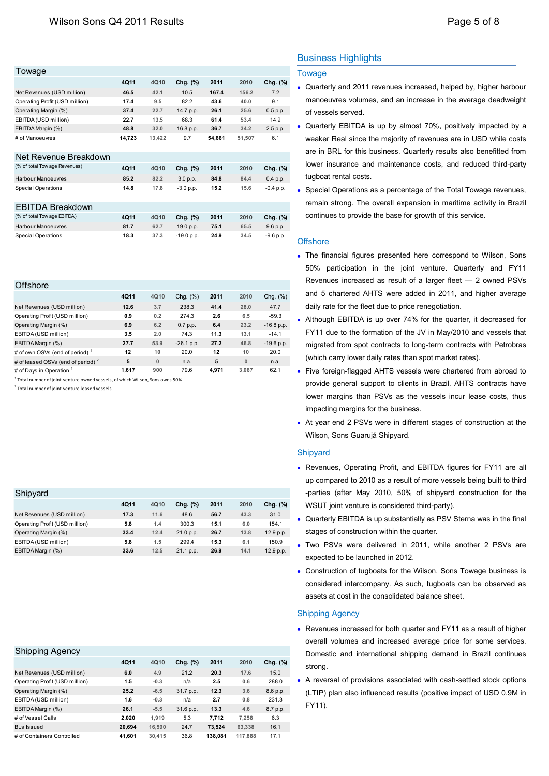| Towage                         |        |        |              |        |        |             |
|--------------------------------|--------|--------|--------------|--------|--------|-------------|
|                                | 4Q11   | 4010   | Chg. (%)     | 2011   | 2010   | Chg. (%)    |
| Net Revenues (USD million)     | 46.5   | 42.1   | 10.5         | 167.4  | 156.2  | 7.2         |
| Operating Profit (USD million) | 17.4   | 9.5    | 82.2         | 43.6   | 40.0   | 9.1         |
| Operating Margin (%)           | 37.4   | 22.7   | 14.7 p.p.    | 26.1   | 25.6   | 0.5 p.p.    |
| EBITDA (USD million)           | 22.7   | 13.5   | 68.3         | 61.4   | 53.4   | 14.9        |
| EBITDA Margin (%)              | 48.8   | 32.0   | 16.8 p.p.    | 36.7   | 34.2   | 2.5 p.p.    |
| # of Manoeuvres                | 14,723 | 13,422 | 9.7          | 54,661 | 51,507 | 6.1         |
| Net Revenue Breakdown          |        |        |              |        |        |             |
| (% of total Tow age Revenues)  | 4Q11   | 4010   | Chg. (%)     | 2011   | 2010   | Chg. (%)    |
| Harbour Manoeuvres             | 85.2   | 82.2   | 3.0 p.p.     | 84.8   | 84.4   | 0.4 p.p.    |
| <b>Special Operations</b>      | 14.8   | 17.8   | $-3.0 p.p.$  | 15.2   | 15.6   | $-0.4$ p.p. |
| EBITDA Breakdown               |        |        |              |        |        |             |
| (% of total Tow age EBITDA)    | 4Q11   | 4Q10   | Chg. (%)     | 2011   | 2010   | Chg. (%)    |
| <b>Harbour Manoeuvres</b>      | 81.7   | 62.7   | 19.0 p.p.    | 75.1   | 65.5   | 9.6 p.p.    |
| <b>Special Operations</b>      | 18.3   | 37.3   | $-19.0 p.p.$ | 24.9   | 34.5   | $-9.6 p.p.$ |

| <b>Offshore</b>                               |       |             |              |       |          |              |
|-----------------------------------------------|-------|-------------|--------------|-------|----------|--------------|
|                                               | 4Q11  | 4Q10        | Chg. $(\%)$  | 2011  | 2010     | Chg. $(\%)$  |
| Net Revenues (USD million)                    | 12.6  | 3.7         | 238.3        | 41.4  | 28.0     | 47.7         |
| Operating Profit (USD million)                | 0.9   | 0.2         | 274.3        | 2.6   | 6.5      | $-59.3$      |
| Operating Margin (%)                          | 6.9   | 6.2         | 0.7 p.p.     | 6.4   | 23.2     | $-16.8$ p.p. |
| EBITDA (USD million)                          | 3.5   | 2.0         | 74.3         | 11.3  | 13.1     | $-14.1$      |
| EBITDA Margin (%)                             | 27.7  | 53.9        | $-26.1$ p.p. | 27.2  | 46.8     | $-19.6 p.p.$ |
| # of own OSVs (end of period) <sup>1</sup>    | 12    | 10          | 20.0         | 12    | 10       | 20.0         |
| # of leased OSVs (end of period) <sup>2</sup> | 5     | $\mathbf 0$ | n.a.         | 5     | $\bf{0}$ | n.a.         |
| # of Days in Operation 1                      | 1.617 | 900         | 79.6         | 4.971 | 3.067    | 62.1         |

1 Total number of joint-venture owned vessels, of which Wilson, Sons owns 50%

2 Total number of joint-venture leased vessels

| Shipyard                       |      |      |           |      |      |           |
|--------------------------------|------|------|-----------|------|------|-----------|
|                                | 4Q11 | 4Q10 | Chg. (%)  | 2011 | 2010 | Chg. (%)  |
| Net Revenues (USD million)     | 17.3 | 11.6 | 48.6      | 56.7 | 43.3 | 31.0      |
| Operating Profit (USD million) | 5.8  | 1.4  | 300.3     | 15.1 | 6.0  | 154.1     |
| Operating Margin (%)           | 33.4 | 12.4 | 21.0 p.p. | 26.7 | 13.8 | 12.9 p.p. |
| EBITDA (USD million)           | 5.8  | 1.5  | 299.4     | 15.3 | 6.1  | 150.9     |
| EBITDA Margin (%)              | 33.6 | 12.5 | 21.1 p.p. | 26.9 | 14.1 | 12.9 p.p. |

#### Shipping Agency

|                                | 4Q11   | 4Q10   | Chg. (%)  | 2011    | 2010    | Chg. (%) |
|--------------------------------|--------|--------|-----------|---------|---------|----------|
| Net Revenues (USD million)     | 6.0    | 4.9    | 21.2      | 20.3    | 17.6    | 15.0     |
| Operating Profit (USD million) | 1.5    | $-0.3$ | n/a       | 2.5     | 0.6     | 288.0    |
| Operating Margin (%)           | 25.2   | $-6.5$ | 31.7 p.p. | 12.3    | 3.6     | 8.6 p.p. |
| EBITDA (USD million)           | 1.6    | $-0.3$ | n/a       | 2.7     | 0.8     | 231.3    |
| EBITDA Margin (%)              | 26.1   | $-5.5$ | 31.6 p.p. | 13.3    | 4.6     | 8.7 p.p. |
| # of Vessel Calls              | 2.020  | 1.919  | 5.3       | 7.712   | 7.258   | 6.3      |
| <b>BLs Issued</b>              | 20.694 | 16.590 | 24.7      | 73.524  | 63.338  | 16.1     |
| # of Containers Controlled     | 41.601 | 30.415 | 36.8      | 138.081 | 117.888 | 17.1     |

# Business Highlights

#### Towage

- Quarterly and 2011 revenues increased, helped by, higher harbour manoeuvres volumes, and an increase in the average deadweight of vessels served.
- Quarterly EBITDA is up by almost 70%, positively impacted by a weaker Real since the majority of revenues are in USD while costs are in BRL for this business. Quarterly results also benefitted from lower insurance and maintenance costs, and reduced third-party tugboat rental costs.
- Special Operations as a percentage of the Total Towage revenues, remain strong. The overall expansion in maritime activity in Brazil continues to provide the base for growth of this service.

#### **Offshore**

- The financial figures presented here correspond to Wilson, Sons 50% participation in the joint venture. Quarterly and FY11 Revenues increased as result of a larger fleet — 2 owned PSVs and 5 chartered AHTS were added in 2011, and higher average daily rate for the fleet due to price renegotiation.
- Although EBITDA is up over 74% for the quarter, it decreased for FY11 due to the formation of the JV in May/2010 and vessels that migrated from spot contracts to long-term contracts with Petrobras (which carry lower daily rates than spot market rates).
- Five foreign-flagged AHTS vessels were chartered from abroad to provide general support to clients in Brazil. AHTS contracts have lower margins than PSVs as the vessels incur lease costs, thus impacting margins for the business.
- At year end 2 PSVs were in different stages of construction at the Wilson, Sons Guarujá Shipyard.

#### Shipyard

- Revenues, Operating Profit, and EBITDA figures for FY11 are all up compared to 2010 as a result of more vessels being built to third -parties (after May 2010, 50% of shipyard construction for the WSUT joint venture is considered third-party).
- Quarterly EBITDA is up substantially as PSV Sterna was in the final stages of construction within the quarter.
- Two PSVs were delivered in 2011, while another 2 PSVs are expected to be launched in 2012.
- Construction of tugboats for the Wilson, Sons Towage business is considered intercompany. As such, tugboats can be observed as assets at cost in the consolidated balance sheet.

#### Shipping Agency

- Revenues increased for both quarter and FY11 as a result of higher overall volumes and increased average price for some services. Domestic and international shipping demand in Brazil continues strong.
- A reversal of provisions associated with cash-settled stock options (LTIP) plan also influenced results (positive impact of USD 0.9M in FY11).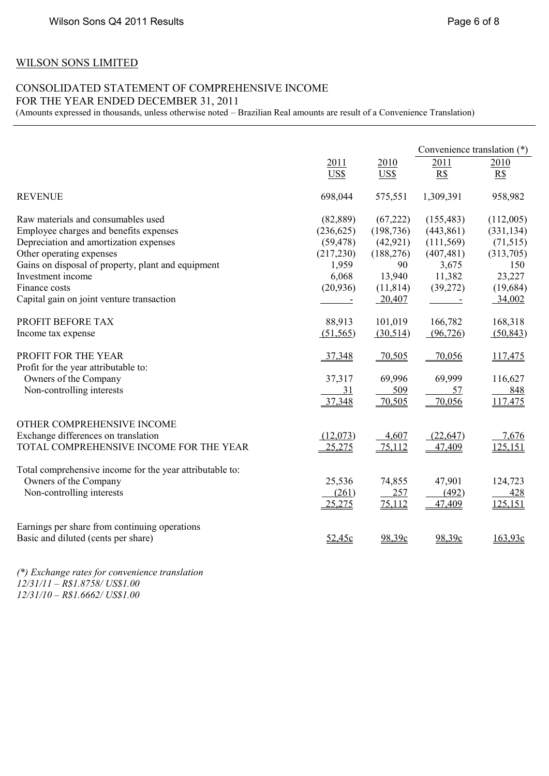# WILSON SONS LIMITED

# CONSOLIDATED STATEMENT OF COMPREHENSIVE INCOME FOR THE YEAR ENDED DECEMBER 31, 2011

(Amounts expressed in thousands, unless otherwise noted – Brazilian Real amounts are result of a Convenience Translation)

|                                                          |            |            | Convenience translation (*) |            |
|----------------------------------------------------------|------------|------------|-----------------------------|------------|
|                                                          | 2011       | 2010       | 2011                        | 2010       |
|                                                          | US\$       | US\$       | R\$                         | R\$        |
| <b>REVENUE</b>                                           | 698,044    | 575,551    | 1,309,391                   | 958,982    |
| Raw materials and consumables used                       | (82, 889)  | (67,222)   | (155, 483)                  | (112,005)  |
| Employee charges and benefits expenses                   | (236, 625) | (198, 736) | (443, 861)                  | (331, 134) |
| Depreciation and amortization expenses                   | (59, 478)  | (42, 921)  | (111, 569)                  | (71, 515)  |
| Other operating expenses                                 | (217, 230) | (188, 276) | (407, 481)                  | (313,705)  |
| Gains on disposal of property, plant and equipment       | 1,959      | 90         | 3,675                       | 150        |
| Investment income                                        | 6,068      | 13,940     | 11,382                      | 23,227     |
| Finance costs                                            | (20, 936)  | (11, 814)  | (39,272)                    | (19, 684)  |
| Capital gain on joint venture transaction                |            | $-20,407$  |                             | 34,002     |
| PROFIT BEFORE TAX                                        | 88,913     | 101,019    | 166,782                     | 168,318    |
|                                                          |            |            |                             |            |
| Income tax expense                                       | (51, 565)  | (30,514)   | (96, 726)                   | (50, 843)  |
| PROFIT FOR THE YEAR                                      | 37,348     | $-70,505$  | 70,056                      | 117,475    |
| Profit for the year attributable to:                     |            |            |                             |            |
| Owners of the Company                                    | 37,317     | 69,996     | 69,999                      | 116,627    |
| Non-controlling interests                                | 31         | 509        | 57                          | 848        |
|                                                          | 37,348     | 70,505     | 70,056                      | 117.475    |
| OTHER COMPREHENSIVE INCOME                               |            |            |                             |            |
| Exchange differences on translation                      | (12,073)   | 4,607      | (22, 647)                   | 7,676      |
| TOTAL COMPREHENSIVE INCOME FOR THE YEAR                  | 25,275     | 75,112     | 47,409                      | 125,151    |
|                                                          |            |            |                             |            |
| Total comprehensive income for the year attributable to: |            |            |                             |            |
| Owners of the Company                                    | 25,536     | 74,855     | 47,901                      | 124,723    |
| Non-controlling interests                                | (261)      | 257        | (492)                       | 428        |
|                                                          | 25,275     | 75,112     | 47,409                      | 125,151    |
| Earnings per share from continuing operations            |            |            |                             |            |
| Basic and diluted (cents per share)                      | 52,45c     | 98,39c     | 98,39c                      | 163,93c    |
|                                                          |            |            |                             |            |

*(\*) Exchange rates for convenience translation 12/31/11 – R\$1.8758/ US\$1.00 12/31/10 – R\$1.6662/ US\$1.00*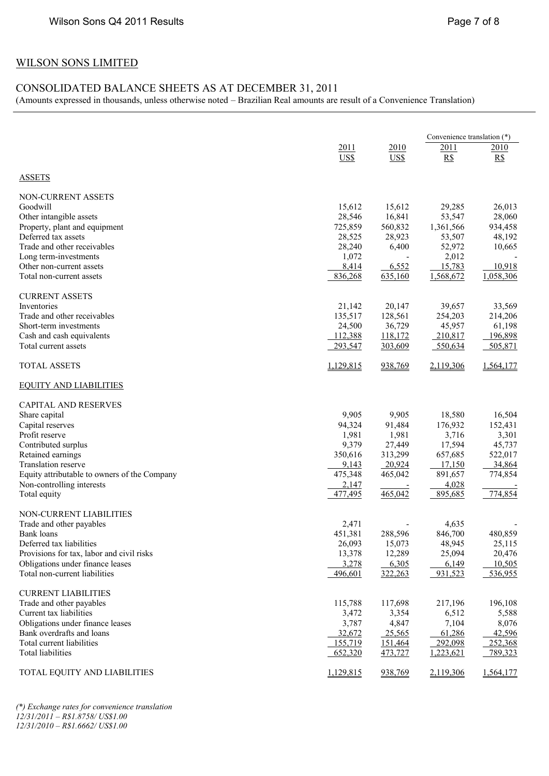# WILSON SONS LIMITED

# CONSOLIDATED BALANCE SHEETS AS AT DECEMBER 31, 2011

(Amounts expressed in thousands, unless otherwise noted – Brazilian Real amounts are result of a Convenience Translation)

|                                                                           |                    |                      | Convenience translation (*) |                    |
|---------------------------------------------------------------------------|--------------------|----------------------|-----------------------------|--------------------|
|                                                                           | 2011               | 2010                 | <u>2011</u>                 | 2010               |
|                                                                           | US\$               | US\$                 | R\$                         | R\$                |
| <b>ASSETS</b>                                                             |                    |                      |                             |                    |
| <b>NON-CURRENT ASSETS</b>                                                 |                    |                      |                             |                    |
| Goodwill                                                                  | 15,612             | 15,612               | 29,285                      | 26,013             |
| Other intangible assets                                                   | 28,546             | 16,841               | 53,547                      | 28,060             |
| Property, plant and equipment<br>Deferred tax assets                      | 725,859<br>28,525  | 560,832<br>28,923    | 1,361,566<br>53,507         | 934,458<br>48,192  |
| Trade and other receivables                                               | 28,240             | 6,400                | 52,972                      | 10,665             |
| Long term-investments                                                     | 1,072              |                      | 2,012                       |                    |
| Other non-current assets                                                  | 8,414              | 6,552                | 15,783                      | 10,918             |
| Total non-current assets                                                  | 836,268            | 635,160              | 1,568,672                   | 1,058,306          |
| <b>CURRENT ASSETS</b>                                                     |                    |                      |                             |                    |
| Inventories                                                               | 21,142             | 20,147               | 39,657                      | 33,569             |
| Trade and other receivables                                               | 135,517            | 128,561              | 254,203                     | 214,206            |
| Short-term investments                                                    | 24,500             | 36,729               | 45,957                      | 61,198             |
| Cash and cash equivalents                                                 | 112,388            | 118,172              | 210,817                     | 196,898            |
| Total current assets                                                      | 293,547            | 303,609              | 550,634                     | 505,871            |
| <b>TOTAL ASSETS</b>                                                       | 1,129,815          | 938,769              | 2,119,306                   | 1,564,177          |
| <b>EQUITY AND LIABILITIES</b>                                             |                    |                      |                             |                    |
| <b>CAPITAL AND RESERVES</b>                                               |                    |                      |                             |                    |
| Share capital                                                             | 9,905              | 9,905                | 18,580                      | 16,504             |
| Capital reserves                                                          | 94,324             | 91,484               | 176,932                     | 152,431            |
| Profit reserve                                                            | 1,981              | 1,981                | 3,716                       | 3,301              |
| Contributed surplus                                                       | 9,379              | 27,449               | 17,594                      | 45,737             |
| Retained earnings                                                         | 350,616            | 313,299              | 657,685                     | 522,017            |
| <b>Translation reserve</b>                                                | 9,143<br>475,348   | $-20,924$<br>465,042 | 17,150                      | 34,864<br>774,854  |
| Equity attributable to owners of the Company<br>Non-controlling interests | 2,147              |                      | 891,657<br>4,028            |                    |
| Total equity                                                              | 477,495            | 465,042              | 895,685                     | 774,854            |
| NON-CURRENT LIABILITIES                                                   |                    |                      |                             |                    |
| Trade and other payables                                                  | 2,471              |                      | 4,635                       |                    |
| Bank loans                                                                | 451,381            | 288,596              | 846,700                     | 480,859            |
| Deferred tax liabilities                                                  | 26,093             | 15,073               | 48,945                      | 25,115             |
| Provisions for tax, labor and civil risks                                 | 13,378             | 12,289               | 25,094                      | 20,476             |
| Obligations under finance leases                                          | 3,278              | 6,305                | 6,149                       | 10,505             |
| Total non-current liabilities                                             | 496,601            | 322,263              | 931,523                     | 536,955            |
| <b>CURRENT LIABILITIES</b>                                                |                    |                      |                             |                    |
| Trade and other payables                                                  | 115,788            | 117,698              | 217,196                     | 196,108            |
| Current tax liabilities                                                   | 3,472              | 3,354                | 6,512                       | 5,588              |
| Obligations under finance leases                                          | 3,787              | 4,847                | 7,104                       | 8,076              |
| Bank overdrafts and loans                                                 | 32,672             | 25,565               | 61,286                      | 42,596             |
| Total current liabilities<br><b>Total liabilities</b>                     | 155,719<br>652,320 | 151,464<br>473,727   | 292,098<br>1,223,621        | 252,368<br>789,323 |
|                                                                           |                    |                      |                             |                    |
| TOTAL EQUITY AND LIABILITIES                                              | 1,129,815          | 938,769              | 2,119,306                   | 1,564,177          |

*(\*) Exchange rates for convenience translation 12/31/2011 – R\$1.8758/ US\$1.00 12/31/2010 – R\$1.6662/ US\$1.00*